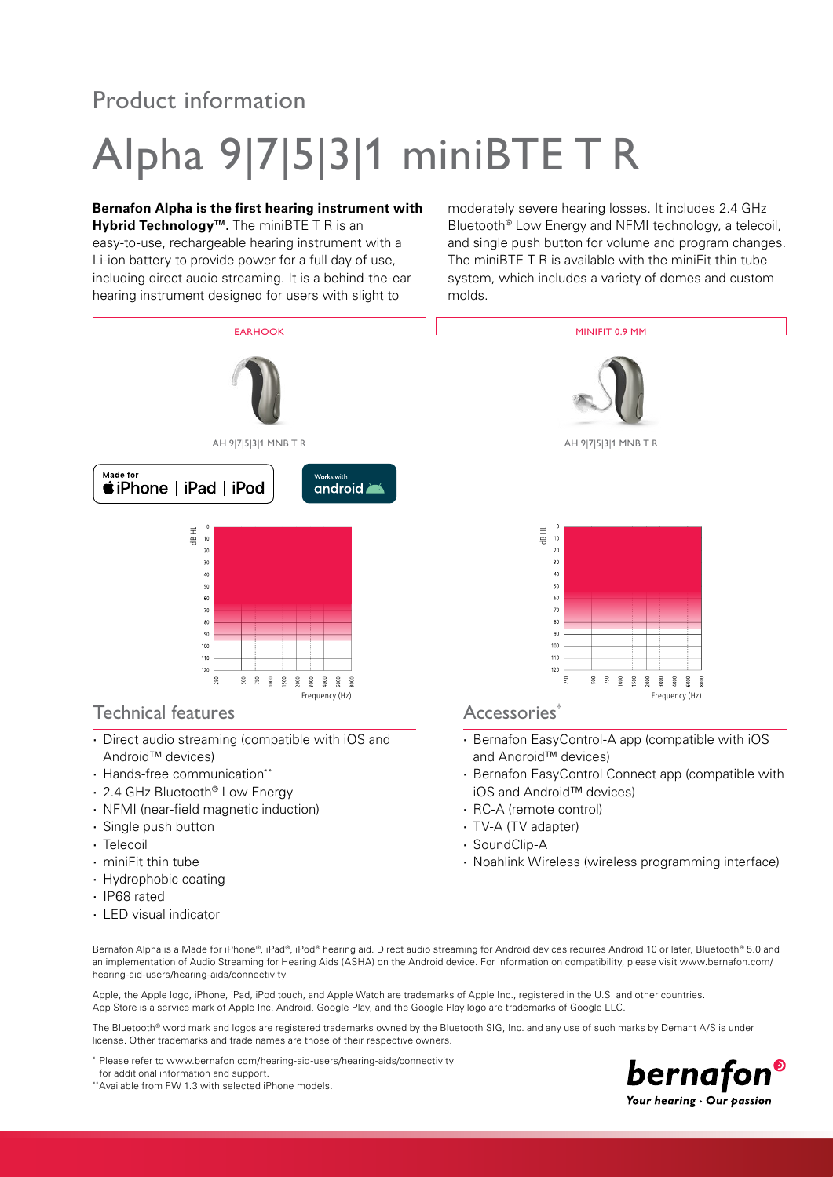## Product information

# Alpha 9|7|5|3|1 miniBTE T R

### **Bernafon Alpha is the first hearing instrument with**

**Hybrid Technology™.** The miniBTE T R is an easy-to-use, rechargeable hearing instrument with a Li-ion battery to provide power for a full day of use, including direct audio streaming. It is a behind-the-ear hearing instrument designed for users with slight to

moderately severe hearing losses. It includes 2.4 GHz Bluetooth® Low Energy and NFMI technology, a telecoil, and single push button for volume and program changes. The miniBTE T R is available with the miniFit thin tube system, which includes a variety of domes and custom molds.



- 
- **·** Single push button
- **·** Telecoil
- **·** miniFit thin tube
- **·** Hydrophobic coating
- **·** IP68 rated
- **·** LED visual indicator
- 
- **·** RC-A (remote control)
- **·** TV-A (TV adapter)
- **·** SoundClip-A
- **·** Noahlink Wireless (wireless programming interface)

Bernafon Alpha is a Made for iPhone®, iPad®, iPod® hearing aid. Direct audio streaming for Android devices requires Android 10 or later, Bluetooth® 5.0 and an implementation of Audio Streaming for Hearing Aids (ASHA) on the Android device. For information on compatibility, please visit www.bernafon.com/ hearing-aid-users/hearing-aids/connectivity.

Apple, the Apple logo, iPhone, iPad, iPod touch, and Apple Watch are trademarks of Apple Inc., registered in the U.S. and other countries. App Store is a service mark of Apple Inc. Android, Google Play, and the Google Play logo are trademarks of Google LLC.

The Bluetooth® word mark and logos are registered trademarks owned by the Bluetooth SIG, Inc. and any use of such marks by Demant A/S is under license. Other trademarks and trade names are those of their respective owners.

- \* Please refer to www.bernafon.com/hearing-aid-users/hearing-aids/connectivity
- for additional information and support.
- \*\*Available from FW 1.3 with selected iPhone models.

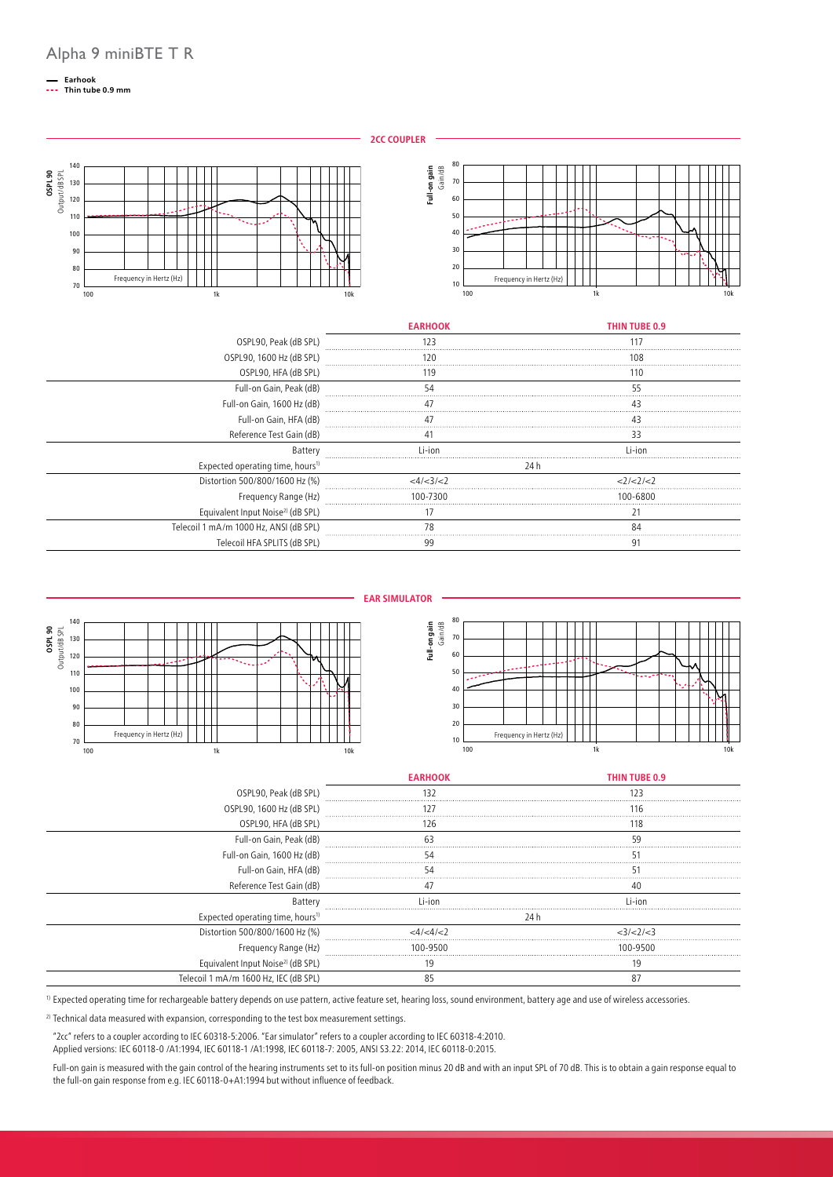## **Earhook Thin tube 0.9 mm**

**2CC COUPLER**

**Full-on gain** Gain/dB

Full-on gain

Frequency in Hertz (Hz)

 $100$  1 and  $1k$  10k 10k



|                                              | <b>EARHOOK</b> | THIN TUBE 0.9 |
|----------------------------------------------|----------------|---------------|
| OSPL90, Peak (dB SPL)                        | 123            | 117           |
| OSPL90, 1600 Hz (dB SPL)                     | 20             | 108           |
| OSPL90, HFA (dB SPL)                         | 119            | 110           |
| Full-on Gain, Peak (dB)                      |                | 55            |
| Full-on Gain, 1600 Hz (dB)                   |                |               |
| Full-on Gain, HFA (dB)                       |                | 43            |
| Reference Test Gain (dB)                     |                | 33            |
| Battery                                      | l i-ion        | l i−i∩n       |
| Expected operating time, hours <sup>1)</sup> |                | 24 h          |
| Distortion 500/800/1600 Hz (%)               | <4/ <3/ <7     | 2/2/2         |
| Frequency Range (Hz)                         | 100-7300       | 100-6800      |
| Equivalent Input Noise <sup>2</sup> (dB SPL) |                |               |
| Telecoil 1 mA/m 1000 Hz, ANSI (dB SPL)       |                | 84            |
| Telecoil HFA SPLITS (dB SPL)                 | 99             | ð.            |



1) Expected operating time for rechargeable battery depends on use pattern, active feature set, hearing loss, sound environment, battery age and use of wireless accessories.

<sup>2)</sup> Technical data measured with expansion, corresponding to the test box measurement settings.

"2cc" refers to a coupler according to IEC 60318-5:2006. "Ear simulator" refers to a coupler according to IEC 60318-4:2010. Applied versions: IEC 60118-0 /A1:1994, IEC 60118-1 /A1:1998, IEC 60118-7: 2005, ANSI S3.22: 2014, IEC 60118-0:2015.

Full-on gain is measured with the gain control of the hearing instruments set to its full-on position minus 20 dB and with an input SPL of 70 dB. This is to obtain a gain response equal to the full-on gain response from e.g. IEC 60118-0+A1:1994 but without influence of feedback.

Equivalent Input Noise2) (dB SPL) 19 19 Telecoil 1 mA/m 1600 Hz, IEC (dB SPL) 85 87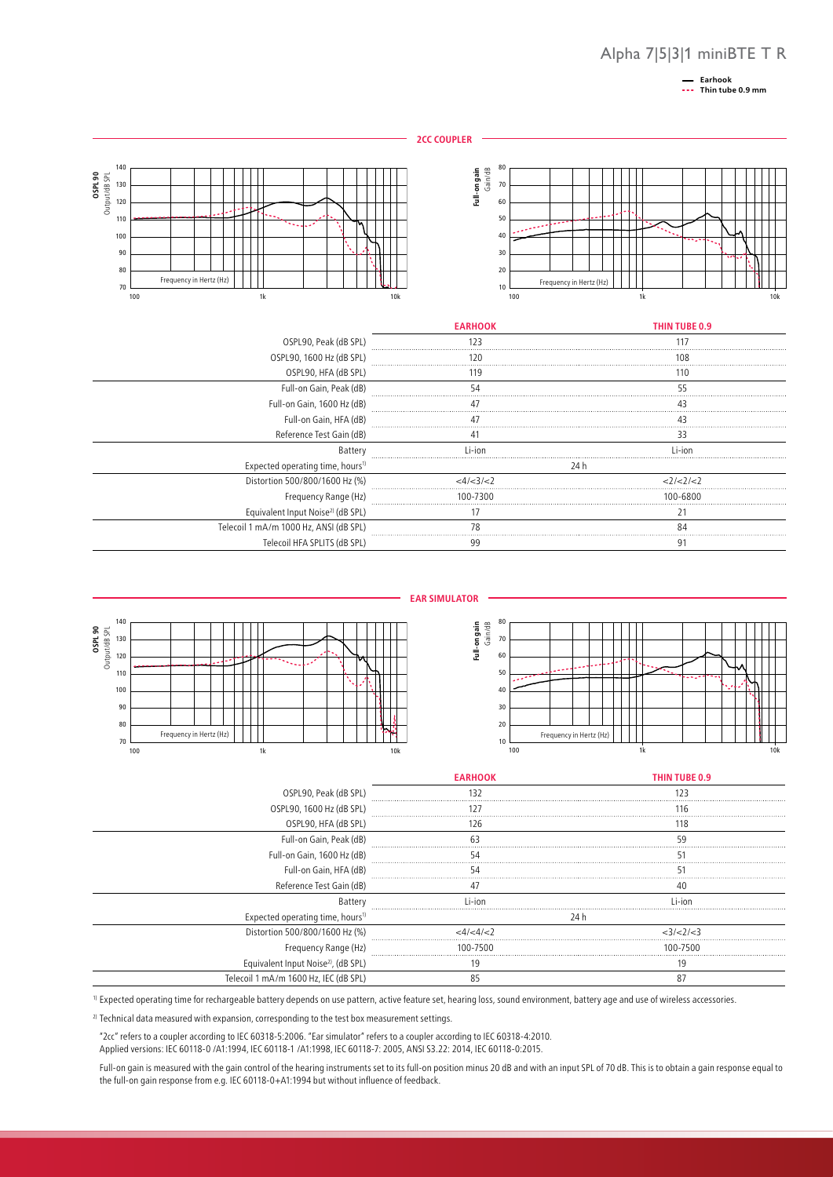### Alpha 7|5|3|1 miniBTE T R

**Earhook Thin tube 0.9 mm**





|                                                 | <b>EARHOOK</b> | THIN TUBE 0.9 |  |
|-------------------------------------------------|----------------|---------------|--|
| OSPL90, Peak (dB SPL)                           | 132            | 123           |  |
| OSPL90, 1600 Hz (dB SPL)                        | 127            |               |  |
| OSPL90, HFA (dB SPL)                            | 126<br>118     |               |  |
| Full-on Gain, Peak (dB)                         |                | 59            |  |
| Full-on Gain, 1600 Hz (dB)                      | 54             |               |  |
| Full-on Gain, HFA (dB)                          | 54             |               |  |
| Reference Test Gain (dB)                        |                |               |  |
| Battery                                         | $i$ -ion       | Li-ion        |  |
| Expected operating time, hours <sup>1)</sup>    |                | 24 h          |  |
| Distortion 500/800/1600 Hz (%)                  | <4/<4/<        | <3/<2/<3      |  |
| Frequency Range (Hz)                            | 100-7500       | 100-7500      |  |
| Equivalent Input Noise <sup>2)</sup> , (dB SPL) | 19             |               |  |
| Telecoil 1 mA/m 1600 Hz, IEC (dB SPL)           |                | 87            |  |

1) Expected operating time for rechargeable battery depends on use pattern, active feature set, hearing loss, sound environment, battery age and use of wireless accessories.

<sup>2)</sup> Technical data measured with expansion, corresponding to the test box measurement settings.

"2cc" refers to a coupler according to IEC 60318-5:2006. "Ear simulator" refers to a coupler according to IEC 60318-4:2010. Applied versions: IEC 60118-0 /A1:1994, IEC 60118-1 /A1:1998, IEC 60118-7: 2005, ANSI S3.22: 2014, IEC 60118-0:2015.

Full-on gain is measured with the gain control of the hearing instruments set to its full-on position minus 20 dB and with an input SPL of 70 dB. This is to obtain a gain response equal to the full-on gain response from e.g. IEC 60118-0+A1:1994 but without influence of feedback.

**EAR SIMULATOR**



Full-on gain **Full-on gain**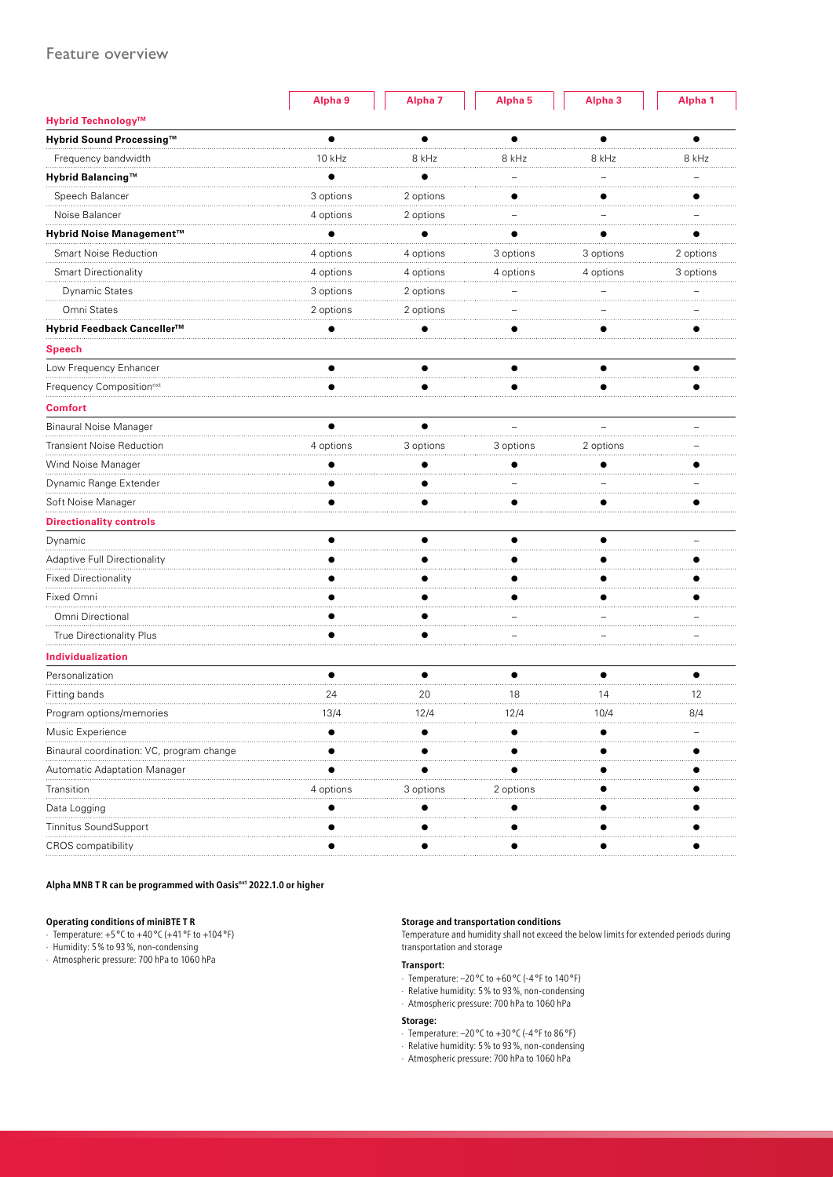|                                           | Alpha 9   | Alpha <sub>7</sub> | Alpha <sub>5</sub> | Alpha <sub>3</sub> | Alpha <sub>1</sub> |
|-------------------------------------------|-----------|--------------------|--------------------|--------------------|--------------------|
| Hybrid Technology™                        |           |                    |                    |                    |                    |
| Hybrid Sound Processing™                  |           | $\bullet$          | ●                  | ●                  |                    |
| Frequency bandwidth                       | 10 kHz    | 8 kHz              | 8 kHz              | 8 kHz              | 8 kHz              |
| Hybrid Balancing™                         |           |                    |                    |                    |                    |
| Speech Balancer                           | 3 options | 2 options          |                    |                    |                    |
| Noise Balancer                            | 4 options | 2 options          |                    |                    |                    |
| Hybrid Noise Management™                  |           |                    |                    |                    |                    |
| <b>Smart Noise Reduction</b>              | 4 options | 4 options          | 3 options          | 3 options          | 2 options          |
| <b>Smart Directionality</b>               | 4 options | 4 options          | 4 options          | 4 options          | 3 options          |
| <b>Dynamic States</b>                     | 3 options | 2 options          |                    |                    |                    |
| Omni States                               | 2 options | 2 options          |                    |                    |                    |
| Hybrid Feedback Canceller™                |           |                    |                    |                    |                    |
| <b>Speech</b>                             |           |                    |                    |                    |                    |
| Low Frequency Enhancer                    |           |                    |                    |                    |                    |
| Frequency Composition <sup>nxt</sup>      |           |                    |                    |                    |                    |
| <b>Comfort</b>                            |           |                    |                    |                    |                    |
| Binaural Noise Manager                    | ▲         | $\bullet$          |                    |                    |                    |
| <b>Transient Noise Reduction</b>          | 4 options | 3 options          | 3 options          | 2 options          |                    |
| Wind Noise Manager                        |           |                    |                    |                    |                    |
| Dynamic Range Extender                    |           |                    |                    |                    |                    |
| Soft Noise Manager                        |           |                    |                    |                    |                    |
| <b>Directionality controls</b>            |           |                    |                    |                    |                    |
| Dynamic                                   |           |                    | $\bullet$          |                    |                    |
| Adaptive Full Directionality              |           |                    |                    |                    |                    |
| <b>Fixed Directionality</b>               |           |                    |                    |                    |                    |
| Fixed Omni                                |           |                    |                    |                    |                    |
| Omni Directional                          |           |                    |                    |                    |                    |
| True Directionality Plus                  |           |                    |                    |                    |                    |
| Individualization                         |           |                    |                    |                    |                    |
| Personalization                           | $\bullet$ | $\bullet$          | $\bullet$          | $\bullet$          | $\bullet$          |
| Fitting bands                             | 24        | 20                 | 18                 | 14                 | 12                 |
| Program options/memories                  | 13/4      | 12/4               | 12/4               | 10/4               | 8/4                |
| Music Experience                          |           |                    |                    |                    |                    |
| Binaural coordination: VC, program change |           |                    |                    |                    |                    |
| Automatic Adaptation Manager              |           |                    |                    |                    |                    |
| Transition                                | 4 options | 3 options          | 2 options          |                    |                    |
| Data Logging                              |           |                    |                    |                    |                    |
| <b>Tinnitus SoundSupport</b>              |           |                    |                    |                    |                    |
| CROS compatibility                        |           |                    |                    |                    |                    |

**Alpha MNB T R can be programmed with Oasisnxt 2022.1.0 or higher**

#### **Operating conditions of miniBTE T R**

- $\cdot$  Temperature: +5 °C to +40 °C (+41 °F to +104 °F)
- · Humidity: 5% to 93%, non-condensing · Atmospheric pressure: 700 hPa to 1060 hPa

#### **Storage and transportation conditions**

Temperature and humidity shall not exceed the below limits for extended periods during transportation and storage

#### **Transport:**

- · Temperature: –20 °C to +60 °C (-4 °F to 140 °F)
- · Relative humidity: 5% to 93%, non-condensing
- · Atmospheric pressure: 700 hPa to 1060 hPa

#### **Storage:**

- $\cdot$  Temperature: -20 °C to +30 °C (-4 °F to 86 °F)
- · Relative humidity: 5% to 93%, non-condensing
- · Atmospheric pressure: 700 hPa to 1060 hPa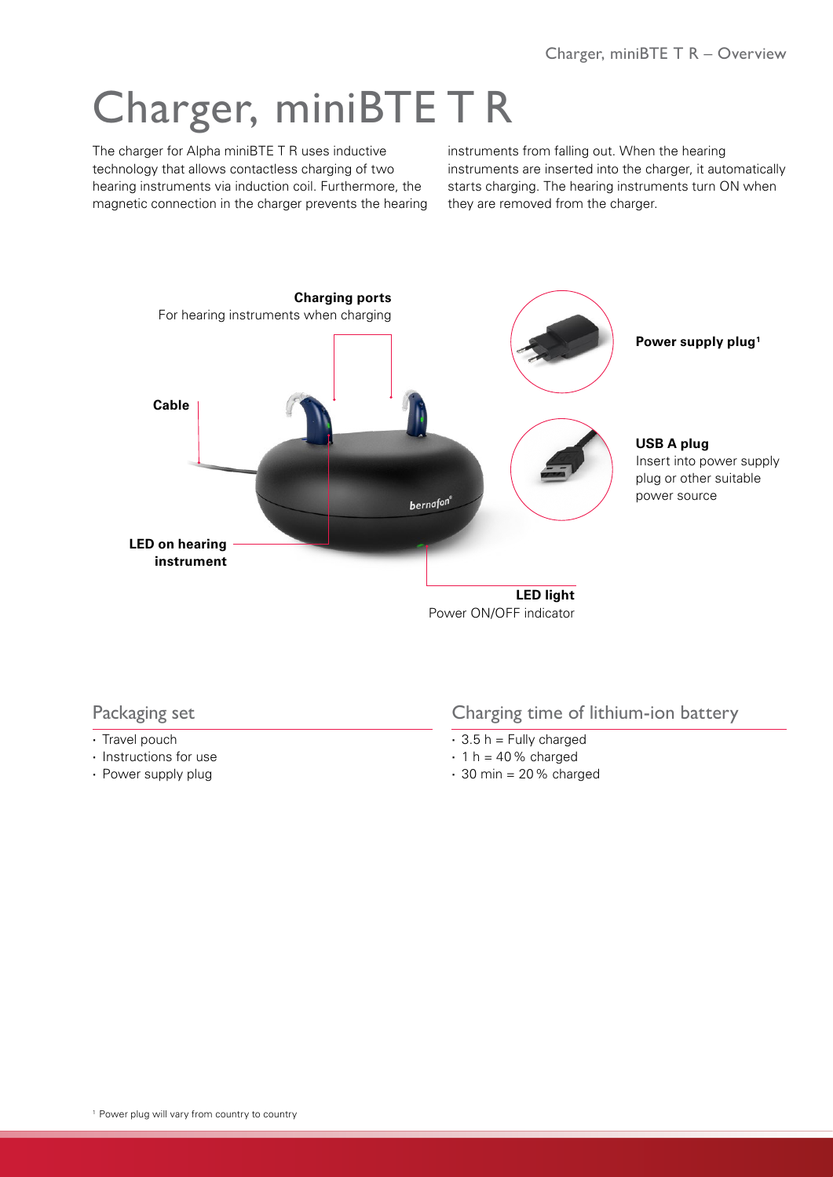## Charger, miniBTE T R

The charger for Alpha miniBTE T R uses inductive technology that allows contactless charging of two hearing instruments via induction coil. Furthermore, the magnetic connection in the charger prevents the hearing instruments from falling out. When the hearing instruments are inserted into the charger, it automatically starts charging. The hearing instruments turn ON when they are removed from the charger.



## Packaging set

- **·** Travel pouch
- **·** Instructions for use
- **·** Power supply plug

## Charging time of lithium-ion battery

- **·** 3.5 h = Fully charged
- **·** 1 h = 40% charged
- **·** 30 min = 20% charged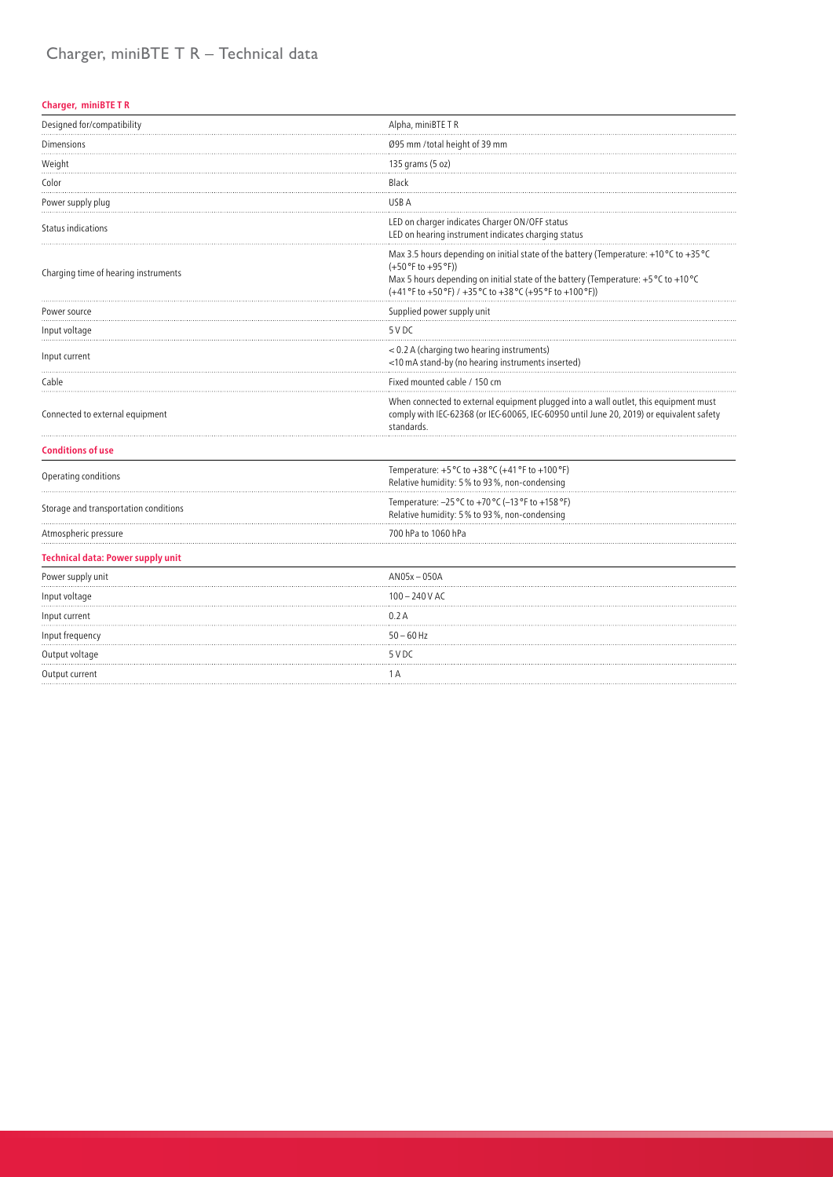## Charger, miniBTE T R – Technical data

#### **Charger, miniBTE T R**

| Designed for/compatibility               | Alpha, miniBTE TR                                                                                                                                                                                                                                                    |  |
|------------------------------------------|----------------------------------------------------------------------------------------------------------------------------------------------------------------------------------------------------------------------------------------------------------------------|--|
| Dimensions                               | Ø95 mm /total height of 39 mm                                                                                                                                                                                                                                        |  |
| Weight                                   | 135 grams (5 oz)                                                                                                                                                                                                                                                     |  |
| Color                                    | Black                                                                                                                                                                                                                                                                |  |
| Power supply plug                        | USB A                                                                                                                                                                                                                                                                |  |
| Status indications                       | LED on charger indicates Charger ON/OFF status<br>LED on hearing instrument indicates charging status                                                                                                                                                                |  |
| Charging time of hearing instruments     | Max 3.5 hours depending on initial state of the battery (Temperature: +10 °C to +35 °C<br>$(+50 °F to +95 °F))$<br>Max 5 hours depending on initial state of the battery (Temperature: +5 °C to +10 °C<br>(+41 °F to +50 °F) / +35 °C to +38 °C (+95 °F to +100 °F)) |  |
| Power source                             | Supplied power supply unit                                                                                                                                                                                                                                           |  |
| Input voltage                            | 5 V DC                                                                                                                                                                                                                                                               |  |
| Input current                            | < 0.2 A (charging two hearing instruments)<br><10 mA stand-by (no hearing instruments inserted)                                                                                                                                                                      |  |
| Cable                                    | Fixed mounted cable / 150 cm                                                                                                                                                                                                                                         |  |
| Connected to external equipment          | When connected to external equipment plugged into a wall outlet, this equipment must<br>comply with IEC-62368 (or IEC-60065, IEC-60950 until June 20, 2019) or equivalent safety<br>standards.                                                                       |  |
| <b>Conditions of use</b>                 |                                                                                                                                                                                                                                                                      |  |
| Operating conditions                     | Temperature: +5 °C to +38 °C (+41 °F to +100 °F)<br>Relative humidity: 5% to 93%, non-condensing                                                                                                                                                                     |  |
| Storage and transportation conditions    | Temperature: -25 °C to +70 °C (-13 °F to +158 °F)<br>Relative humidity: 5% to 93%, non-condensing                                                                                                                                                                    |  |
| Atmospheric pressure                     | 700 hPa to 1060 hPa                                                                                                                                                                                                                                                  |  |
| <b>Technical data: Power supply unit</b> |                                                                                                                                                                                                                                                                      |  |
| Power supply unit                        | $AN05x - 050A$                                                                                                                                                                                                                                                       |  |
| Input voltage                            | $100 - 240$ V AC                                                                                                                                                                                                                                                     |  |
| Input current                            | 0.2A                                                                                                                                                                                                                                                                 |  |
| Input frequency                          | $50 - 60$ Hz                                                                                                                                                                                                                                                         |  |
| Output voltage                           | 5 V DC                                                                                                                                                                                                                                                               |  |
| Output current                           | 1 A                                                                                                                                                                                                                                                                  |  |
|                                          |                                                                                                                                                                                                                                                                      |  |